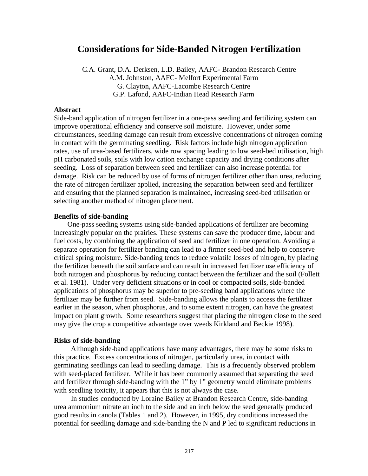# **Considerations for Side-Banded Nitrogen Fertilization**

C.A. Grant, D.A. Derksen, L.D. Bailey, AAFC- Brandon Research Centre A.M. Johnston, AAFC- Melfort Experimental Farm G. Clayton, AAFC-Lacombe Research Centre G.P. Lafond, AAFC-Indian Head Research Farm

## **Abstract**

Side-band application of nitrogen fertilizer in a one-pass seeding and fertilizing system can improve operational efficiency and conserve soil moisture. However, under some circumstances, seedling damage can result from excessive concentrations of nitrogen coming in contact with the germinating seedling. Risk factors include high nitrogen application rates, use of urea-based fertilizers, wide row spacing leading to low seed-bed utilisation, high pH carbonated soils, soils with low cation exchange capacity and drying conditions after seeding. Loss of separation between seed and fertilizer can also increase potential for damage. Risk can be reduced by use of forms of nitrogen fertilizer other than urea, reducing the rate of nitrogen fertilizer applied, increasing the separation between seed and fertilizer and ensuring that the planned separation is maintained, increasing seed-bed utilisation or selecting another method of nitrogen placement.

### **Benefits of side-banding**

One-pass seeding systems using side-banded applications of fertilizer are becoming increasingly popular on the prairies. These systems can save the producer time, labour and fuel costs, by combining the application of seed and fertilizer in one operation. Avoiding a separate operation for fertilizer banding can lead to a firmer seed-bed and help to conserve critical spring moisture. Side-banding tends to reduce volatile losses of nitrogen, by placing the fertilizer beneath the soil surface and can result in increased fertilizer use efficiency of both nitrogen and phosphorus by reducing contact between the fertilizer and the soil (Follett et al. 1981). Under very deficient situations or in cool or compacted soils, side-banded applications of phosphorus may be superior to pre-seeding band applications where the fertilizer may be further from seed. Side-banding allows the plants to access the fertilizer earlier in the season, when phosphorus, and to some extent nitrogen, can have the greatest impact on plant growth. Some researchers suggest that placing the nitrogen close to the seed may give the crop a competitive advantage over weeds Kirkland and Beckie 1998).

#### **Risks of side-banding**

Although side-band applications have many advantages, there may be some risks to this practice. Excess concentrations of nitrogen, particularly urea, in contact with germinating seedlings can lead to seedling damage. This is a frequently observed problem with seed-placed fertilizer. While it has been commonly assumed that separating the seed and fertilizer through side-banding with the 1" by 1" geometry would eliminate problems with seedling toxicity, it appears that this is not always the case.

In studies conducted by Loraine Bailey at Brandon Research Centre, side-banding urea ammonium nitrate an inch to the side and an inch below the seed generally produced good results in canola (Tables 1 and 2). However, in 1995, dry conditions increased the potential for seedling damage and side-banding the N and P led to significant reductions in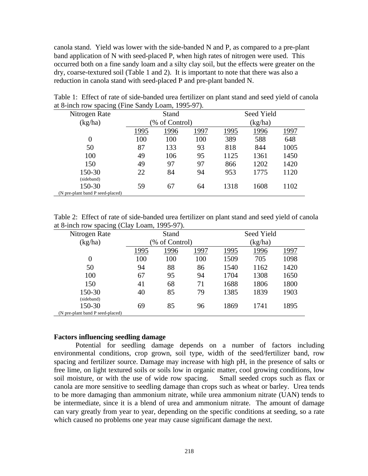canola stand. Yield was lower with the side-banded N and P, as compared to a pre-plant band application of N with seed-placed P, when high rates of nitrogen were used. This occurred both on a fine sandy loam and a silty clay soil, but the effects were greater on the dry, coarse-textured soil (Table 1 and 2). It is important to note that there was also a reduction in canola stand with seed-placed P and pre-plant banded N.

| Nitrogen Rate                    |                | Stand |      | Seed Yield           |      |      |
|----------------------------------|----------------|-------|------|----------------------|------|------|
| (kg/ha)                          | (% of Control) |       |      | (kg/ha)              |      |      |
|                                  | 1995           | 1996  | 1997 | 1996<br>1995<br>1997 |      |      |
| 0                                | 100            | 100   | 100  | 389                  | 588  | 648  |
| 50                               | 87             | 133   | 93   | 818                  | 844  | 1005 |
| 100                              | 49             | 106   | 95   | 1125                 | 1361 | 1450 |
| 150                              | 49             | 97    | 97   | 866                  | 1202 | 1420 |
| 150-30                           | 22             | 84    | 94   | 953                  | 1775 | 1120 |
| (sideband)                       |                |       |      |                      |      |      |
| 150-30                           | 59             | 67    | 64   | 1318                 | 1608 | 1102 |
| (N pre-plant band P seed-placed) |                |       |      |                      |      |      |

Table 1: Effect of rate of side-banded urea fertilizer on plant stand and seed yield of canola at 8-inch row spacing (Fine Sandy Loam, 1995-97).

Table 2: Effect of rate of side-banded urea fertilizer on plant stand and seed yield of canola at 8-inch row spacing (Clay Loam, 1995-97).

| Nitrogen Rate                    | Stand          |      | Seed Yield |              |      |      |
|----------------------------------|----------------|------|------------|--------------|------|------|
| (kg/ha)                          | (% of Control) |      | (kg/ha)    |              |      |      |
|                                  | 1995           | 1996 | 1997       | 1996<br>1995 |      | 1997 |
| 0                                | 100            | 100  | 100        | 1509         | 705  | 1098 |
| 50                               | 94             | 88   | 86         | 1540         | 1162 | 1420 |
| 100                              | 67             | 95   | 94         | 1704         | 1308 | 1650 |
| 150                              | 41             | 68   | 71         | 1688         | 1806 | 1800 |
| 150-30                           | 40             | 85   | 79         | 1385         | 1839 | 1903 |
| (sideband)                       |                |      |            |              |      |      |
| 150-30                           | 69             | 85   | 96         | 1869         | 1741 | 1895 |
| (N pre-plant band P seed-placed) |                |      |            |              |      |      |

## **Factors influencing seedling damage**

Potential for seedling damage depends on a number of factors including environmental conditions, crop grown, soil type, width of the seed/fertilizer band, row spacing and fertilizer source. Damage may increase with high pH, in the presence of salts or free lime, on light textured soils or soils low in organic matter, cool growing conditions, low soil moisture, or with the use of wide row spacing. Small seeded crops such as flax or canola are more sensitive to seedling damage than crops such as wheat or barley. Urea tends to be more damaging than ammonium nitrate, while urea ammonium nitrate (UAN) tends to be intermediate, since it is a blend of urea and ammonium nitrate. The amount of damage can vary greatly from year to year, depending on the specific conditions at seeding, so a rate which caused no problems one year may cause significant damage the next.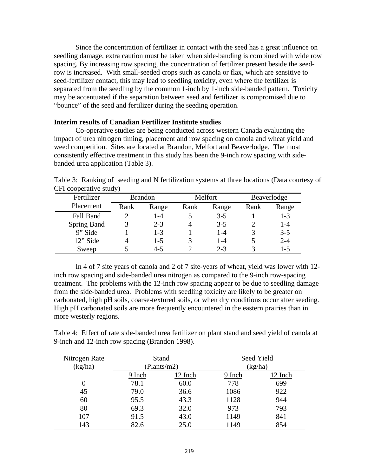Since the concentration of fertilizer in contact with the seed has a great influence on seedling damage, extra caution must be taken when side-banding is combined with wide row spacing. By increasing row spacing, the concentration of fertilizer present beside the seedrow is increased. With small-seeded crops such as canola or flax, which are sensitive to seed-fertilizer contact, this may lead to seedling toxicity, even where the fertilizer is separated from the seedling by the common 1-inch by 1-inch side-banded pattern. Toxicity may be accentuated if the separation between seed and fertilizer is compromised due to "bounce" of the seed and fertilizer during the seeding operation.

### **Interim results of Canadian Fertilizer Institute studies**

Co-operative studies are being conducted across western Canada evaluating the impact of urea nitrogen timing, placement and row spacing on canola and wheat yield and weed competition. Sites are located at Brandon, Melfort and Beaverlodge. The most consistently effective treatment in this study has been the 9-inch row spacing with sidebanded urea application (Table 3).

Table 3: Ranking of seeding and N fertilization systems at three locations (Data courtesy of CFI cooperative study)

| Fertilizer         | <b>Brandon</b> |         |      | Melfort |      | Beaverlodge |  |
|--------------------|----------------|---------|------|---------|------|-------------|--|
| Placement          | Rank           | Range   | Rank | Range   | Rank | Range       |  |
| Fall Band          |                | 1-4     |      | $3 - 5$ |      | $1-3$       |  |
| <b>Spring Band</b> |                | $2 - 3$ |      | $3-5$   |      | $1 - 4$     |  |
| 9" Side            |                | $1 - 3$ |      | $1 - 4$ | 3    | $3 - 5$     |  |
| 12" Side           | 4              | $1 - 5$ |      | $1 - 4$ |      | $2 - 4$     |  |
| Sweep              |                | $4 - 5$ |      | $2 - 3$ |      | $1 - 5$     |  |

In 4 of 7 site years of canola and 2 of 7 site-years of wheat, yield was lower with 12 inch row spacing and side-banded urea nitrogen as compared to the 9-inch row-spacing treatment. The problems with the 12-inch row spacing appear to be due to seedling damage from the side-banded urea. Problems with seedling toxicity are likely to be greater on carbonated, high pH soils, coarse-textured soils, or when dry conditions occur after seeding. High pH carbonated soils are more frequently encountered in the eastern prairies than in more westerly regions.

Table 4: Effect of rate side-banded urea fertilizer on plant stand and seed yield of canola at 9-inch and 12-inch row spacing (Brandon 1998).

| Nitrogen Rate<br>(kg/ha) |        | Stand<br>(Plants/m2) | Seed Yield<br>(kg/ha) |         |  |
|--------------------------|--------|----------------------|-----------------------|---------|--|
|                          | 9 Inch | 12 Inch              | 9 Inch                | 12 Inch |  |
|                          | 78.1   | 60.0                 | 778                   | 699     |  |
| 45                       | 79.0   | 36.6                 | 1086                  | 922     |  |
| 60                       | 95.5   | 43.3                 | 1128                  | 944     |  |
| 80                       | 69.3   | 32.0                 | 973                   | 793     |  |
| 107                      | 91.5   | 43.0                 | 1149                  | 841     |  |
| 143                      | 82.6   | 25.0                 | 1149                  | 854     |  |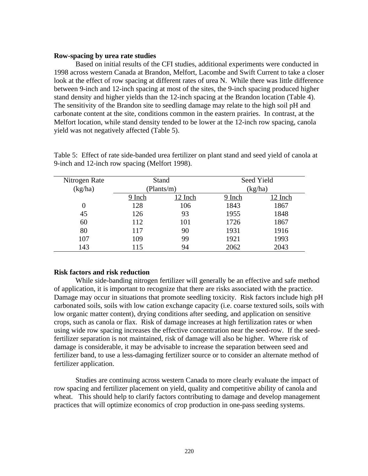#### **Row-spacing by urea rate studies**

Based on initial results of the CFI studies, additional experiments were conducted in 1998 across western Canada at Brandon, Melfort, Lacombe and Swift Current to take a closer look at the effect of row spacing at different rates of urea N. While there was little difference between 9-inch and 12-inch spacing at most of the sites, the 9-inch spacing produced higher stand density and higher yields than the 12-inch spacing at the Brandon location (Table 4). The sensitivity of the Brandon site to seedling damage may relate to the high soil pH and carbonate content at the site, conditions common in the eastern prairies. In contrast, at the Melfort location, while stand density tended to be lower at the 12-inch row spacing, canola yield was not negatively affected (Table 5).

| Nitrogen Rate |        | Stand      |        | Seed Yield |  |  |
|---------------|--------|------------|--------|------------|--|--|
| (kg/ha)       |        | (Plants/m) |        | (kg/ha)    |  |  |
|               | 9 Inch | 12 Inch    | 9 Inch | 12 Inch    |  |  |
| 0             | 128    | 106        | 1843   | 1867       |  |  |
| 45            | 126    | 93         | 1955   | 1848       |  |  |
| 60            | 112    | 101        | 1726   | 1867       |  |  |
| 80            | 117    | 90         | 1931   | 1916       |  |  |
| 107           | 109    | 99         | 1921   | 1993       |  |  |
| 143           | 115    | 94         | 2062   | 2043       |  |  |

Table 5: Effect of rate side-banded urea fertilizer on plant stand and seed yield of canola at 9-inch and 12-inch row spacing (Melfort 1998).

## **Risk factors and risk reduction**

While side-banding nitrogen fertilizer will generally be an effective and safe method of application, it is important to recognize that there are risks associated with the practice. Damage may occur in situations that promote seedling toxicity. Risk factors include high pH carbonated soils, soils with low cation exchange capacity (i.e. coarse textured soils, soils with low organic matter content), drying conditions after seeding, and application on sensitive crops, such as canola or flax. Risk of damage increases at high fertilization rates or when using wide row spacing increases the effective concentration near the seed-row. If the seedfertilizer separation is not maintained, risk of damage will also be higher. Where risk of damage is considerable, it may be advisable to increase the separation between seed and fertilizer band, to use a less-damaging fertilizer source or to consider an alternate method of fertilizer application.

Studies are continuing across western Canada to more clearly evaluate the impact of row spacing and fertilizer placement on yield, quality and competitive ability of canola and wheat. This should help to clarify factors contributing to damage and develop management practices that will optimize economics of crop production in one-pass seeding systems.